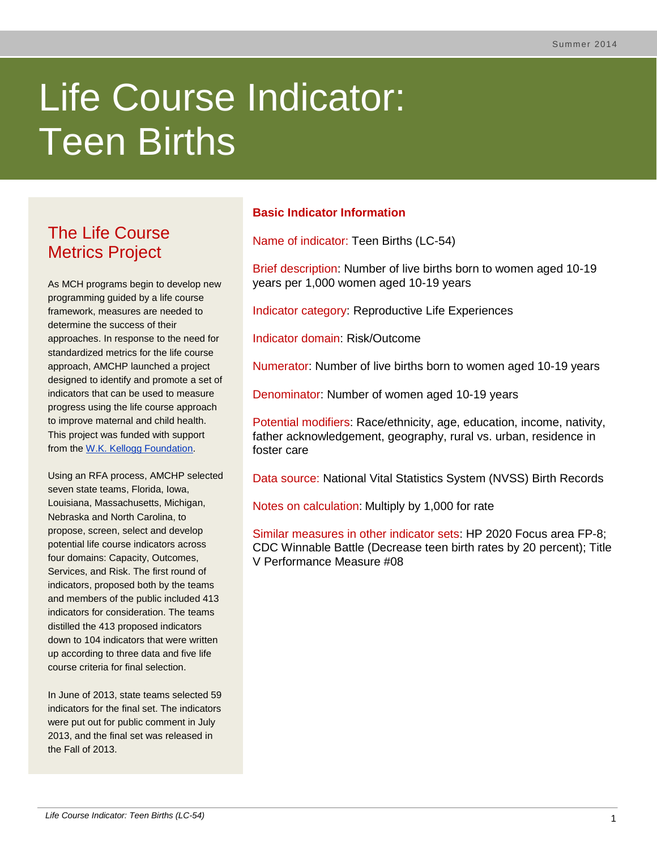# Life Course Indicator: Teen Births

# The Life Course Metrics Project

As MCH programs begin to develop new programming guided by a life course framework, measures are needed to determine the success of their approaches. In response to the need for standardized metrics for the life course approach, AMCHP launched a project designed to identify and promote a set of indicators that can be used to measure progress using the life course approach to improve maternal and child health. This project was funded with support from the [W.K. Kellogg Foundation.](http://www.wkkf.org/)

Using an RFA process, AMCHP selected seven state teams, Florida, Iowa, Louisiana, Massachusetts, Michigan, Nebraska and North Carolina, to propose, screen, select and develop potential life course indicators across four domains: Capacity, Outcomes, Services, and Risk. The first round of indicators, proposed both by the teams and members of the public included 413 indicators for consideration. The teams distilled the 413 proposed indicators down to 104 indicators that were written up according to three data and five life course criteria for final selection.

In June of 2013, state teams selected 59 indicators for the final set. The indicators were put out for public comment in July 2013, and the final set was released in the Fall of 2013.

# **Basic Indicator Information**

Name of indicator: Teen Births (LC-54)

Brief description: Number of live births born to women aged 10-19 years per 1,000 women aged 10-19 years

Indicator category: Reproductive Life Experiences

Indicator domain: Risk/Outcome

Numerator: Number of live births born to women aged 10-19 years

Denominator: Number of women aged 10-19 years

Potential modifiers: Race/ethnicity, age, education, income, nativity, father acknowledgement, geography, rural vs. urban, residence in foster care

Data source: National Vital Statistics System (NVSS) Birth Records

Notes on calculation: Multiply by 1,000 for rate

Similar measures in other indicator sets: HP 2020 Focus area FP-8; CDC Winnable Battle (Decrease teen birth rates by 20 percent); Title V Performance Measure #08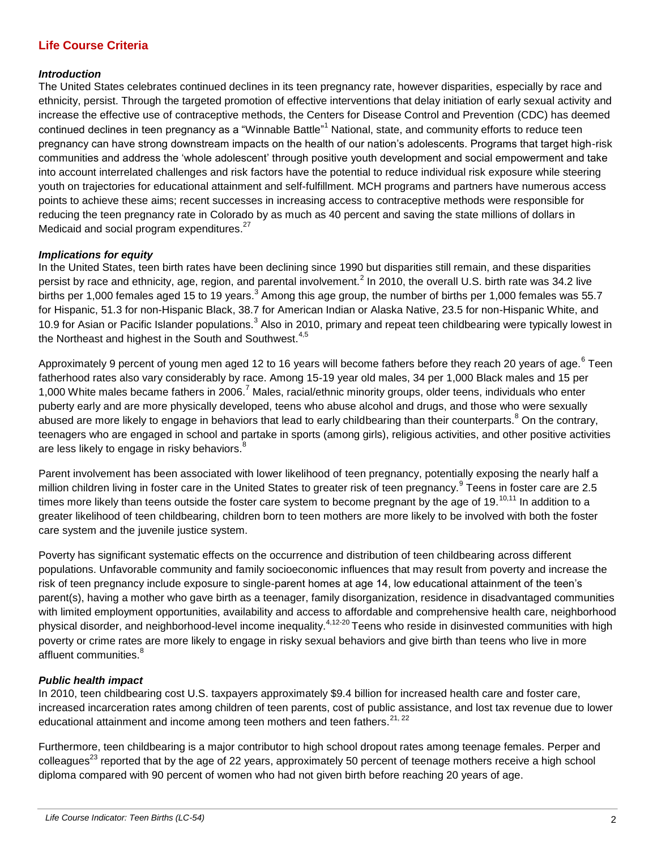# **Life Course Criteria**

#### *Introduction*

The United States celebrates continued declines in its teen pregnancy rate, however disparities, especially by race and ethnicity, persist. Through the targeted promotion of effective interventions that delay initiation of early sexual activity and increase the effective use of contraceptive methods, the Centers for Disease Control and Prevention (CDC) has deemed continued declines in teen pregnancy as a "Winnable Battle"<sup>1</sup> National, state, and community efforts to reduce teen pregnancy can have strong downstream impacts on the health of our nation's adolescents. Programs that target high-risk communities and address the 'whole adolescent' through positive youth development and social empowerment and take into account interrelated challenges and risk factors have the potential to reduce individual risk exposure while steering youth on trajectories for educational attainment and self-fulfillment. MCH programs and partners have numerous access points to achieve these aims; recent successes in increasing access to contraceptive methods were responsible for reducing the teen pregnancy rate in Colorado by as much as 40 percent and saving the state millions of dollars in Medicaid and social program expenditures.<sup>27</sup>

## *Implications for equity*

<span id="page-1-0"></span>In the United States, teen birth rates have been declining since 1990 but disparities still remain, and these disparities persist by race and ethnicity, age, region, and parental involvement.<sup>2</sup> In 2010, the overall U.S. birth rate was 34.2 live births per 1,000 females aged 15 to 19 years.<sup>3</sup> Among this age group, the number of births per 1,000 females was 55.7 for Hispanic, 51.3 for non-Hispanic Black, 38.7 for American Indian or Alaska Native, 23.5 for non-Hispanic White, and 10[.](#page-1-0)9 for Asian or Pacific Islander populations.<sup>3</sup> Also in 2010, primary and repeat teen childbearing were typically lowest in the Northeast and highest in the South and Southwest. $4,5$ 

Approximately 9 percent of young men aged 12 to 16 years will become fathers before they reach 20 years of age.<sup>6</sup> Teen fatherhood rates also vary considerably by race. Among 15-19 year old males, 34 per 1,000 Black males and 15 per 1,000 White males became fathers in 2006.<sup>7</sup> Males, racial/ethnic minority groups, older teens, individuals who enter puberty early and are more physically developed, teens who abuse alcohol and drugs, and those who were sexually abused are more likely to engage in behaviors that lead to early childbearing than their counterparts.<sup>8</sup> On the contrary, teenagers who are engaged in school and partake in sports (among girls), religious activities, and other positive activities are less likely to engage in risky behaviors.<sup>[8](#page-1-1)</sup>

<span id="page-1-3"></span><span id="page-1-1"></span>Parent involvement has been associated with lower likelihood of teen pregnancy, potentially exposing the nearly half a million children living in foster care in the United States to greater risk of teen pregnancy.<sup>9</sup> Teens in foster care are 2.5 times more likely than teens outside the foster care system to become pregnant by the age of 19. $^{10,11}$  In addition to a greater likelihood of teen childbearing, children born to teen mothers are more likely to be involved with both the foster care system and the juvenile justice system.

Poverty has significant systematic effects on the occurrence and distribution of teen childbearing across different populations. Unfavorable community and family socioeconomic influences that may result from poverty and increase the risk of teen pregnancy include exposure to single-parent homes at age 14, low educational attainment of the teen's parent(s), having a mother who gave birth as a teenager, family disorganization, residence in disadvantaged communities with limited employment opportunities, availability and access to affordable and comprehensive health care, neighborhood physical disorder, and neighborhood-level income inequality.<sup>4,12-20</sup> Teens who reside in disinvested communities with high poverty or crime rates are more likely to engage in risky sexual behaviors and give birth than teens who live in more affluent communities[.](#page-1-1)<sup>8</sup>

## *Public health impact*

In 2010, teen childbearing cost U.S. taxpayers approximately \$9.4 billion for increased health care and foster care, increased incarceration rates among children of teen parents, cost of public assistance, and lost tax revenue due to lower educational attainment and income among teen mothers and teen fathers.<sup>21, 22</sup>

<span id="page-1-2"></span>Furthermore, teen childbearing is a major contributor to high school dropout rates among teenage females. Perper and colleagues<sup>23</sup> reported that by the age of 22 years, approximately 50 percent of teenage mothers receive a high school diploma compared with 90 percent of women who had not given birth before reaching 20 years of age.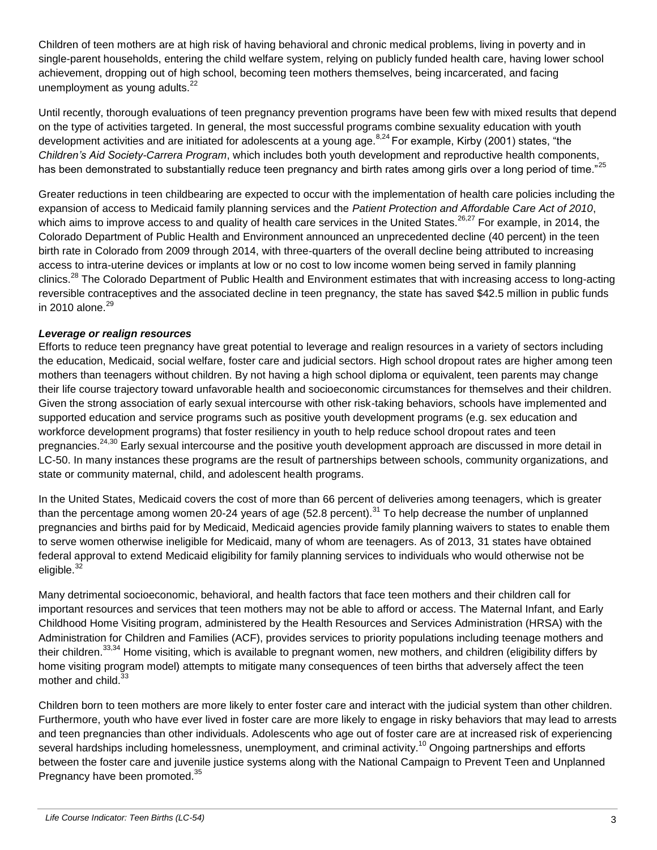Children of teen mothers are at high risk of having behavioral and chronic medical problems, living in poverty and in single-parent households, entering the child welfare system, relying on publicly funded health care, having lower school achievement, dropping out of high school, becoming teen mothers themselves, being incarcerated, and facing unemployment as young adults. $22$ 

<span id="page-2-2"></span><span id="page-2-0"></span>Until recently, thorough evaluations of teen pregnancy prevention programs have been few with mixed results that depend on the type of activities targeted. In general, the most successful programs combine sexuality education with youth development activities and are initiated for adolescents at a young age.<sup>[8,2](#page-1-1)4</sup> For example, Kirby (2001) states, "the *Children's Aid Society-Carrera Program*, which includes both youth development and reproductive health components, has been demonstrated to substantially reduce teen pregnancy and birth rates among girls over a long period of time."<sup>25</sup>

Greater reductions in teen childbearing are expected to occur with the implementation of health care policies including the expansion of access to Medicaid family planning services and the *Patient Protection and Affordable Care Act of 2010*, which aims to improve access to and quality of health care services in the United States.<sup>26,27</sup> For example, in 2014, the Colorado Department of Public Health and Environment announced an unprecedented decline (40 percent) in the teen birth rate in Colorado from 2009 through 2014, with three-quarters of the overall decline being attributed to increasing access to intra-uterine devices or implants at low or no cost to low income women being served in family planning clinics.<sup>28</sup> The Colorado Department of Public Health and Environment estimates that with increasing access to long-acting reversible contraceptives and the associated decline in teen pregnancy, the state has saved \$42.5 million in public funds in 2010 alone. $^{29}$ 

# *Leverage or realign resources*

Efforts to reduce teen pregnancy have great potential to leverage and realign resources in a variety of sectors including the education, Medicaid, social welfare, foster care and judicial sectors. High school dropout rates are higher among teen mothers than teenagers without children. By not having a high school diploma or equivalent, teen parents may change their life course trajectory toward unfavorable health and socioeconomic circumstances for themselves and their children. Given the strong association of early sexual intercourse with other risk-taking behaviors, schools have implemented and supported education and service programs such as positive youth development programs (e.g. sex education and workforce development programs) that foster resiliency in youth to help reduce school dropout rates and teen pregnancies.<sup>[24,3](#page-2-0)0</sup> Early sexual intercourse and the positive youth development approach are discussed in more detail in LC-50. In many instances these programs are the result of partnerships between schools, community organizations, and state or community maternal, child, and adolescent health programs.

In the United States, Medicaid covers the cost of more than 66 percent of deliveries among teenagers, which is greater than the percentage among women 20-24 years of age (52.8 percent).<sup>31</sup> To help decrease the number of unplanned pregnancies and births paid for by Medicaid, Medicaid agencies provide family planning waivers to states to enable them to serve women otherwise ineligible for Medicaid, many of whom are teenagers. As of 2013, 31 states have obtained federal approval to extend Medicaid eligibility for family planning services to individuals who would otherwise not be eligible. $32$ 

Many detrimental socioeconomic, behavioral, and health factors that face teen mothers and their children call for important resources and services that teen mothers may not be able to afford or access. The Maternal Infant, and Early Childhood Home Visiting program, administered by the Health Resources and Services Administration (HRSA) with the Administration for Children and Families (ACF), provides services to priority populations including teenage mothers and their children.<sup>33,34</sup> Home visiting, which is available to pregnant women, new mothers, and children (eligibility differs by home visiting program model) attempts to mitigate many consequences of teen births that adversely affect the teen mother and child.<sup>[33](#page-2-1)</sup>

<span id="page-2-1"></span>Children born to teen mothers are more likely to enter foster care and interact with the judicial system than other children. Furthermore, youth who have ever lived in foster care are more likely to engage in risky behaviors that may lead to arrests and teen pregnancies than other individuals. Adolescents who age out of foster care are at increased risk of experiencing several hardships including homelessness, unemployment, and criminal activity.<sup>[10](#page-1-3)</sup> Ongoing partnerships and efforts between the foster care and juvenile justice systems along with the National Campaign to Prevent Teen and Unplanned Pregnancy have been promoted.<sup>35</sup>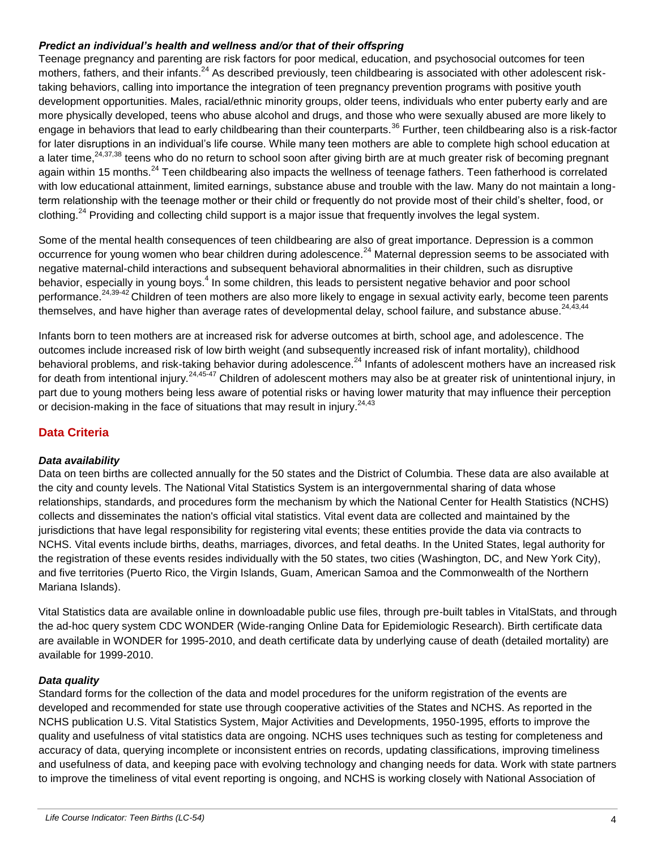## *Predict an individual's health and wellness and/or that of their offspring*

Teenage pregnancy and parenting are risk factors for poor medical, education, and psychosocial outcomes for teen mothers, fathers, and their infants.<sup>[24](#page-2-0)</sup> As described previously, teen childbearing is associated with other adolescent risktaking behaviors, calling into importance the integration of teen pregnancy prevention programs with positive youth development opportunities. Males, racial/ethnic minority groups, older teens, individuals who enter puberty early and are more physically developed, teens who abuse alcohol and drugs, and those who were sexually abused are more likely to engage in behaviors that lead to early childbearing than their counterparts.<sup>36</sup> Further, teen childbearing also is a risk-factor for later disruptions in an individual's life course. While many teen mothers are able to complete high school education at a later time.<sup>[24,3](#page-2-0)7,38</sup> teens who do no return to school soon after giving birth are at much greater risk of becoming pregnant again within 15 months.<sup>[24](#page-2-0)</sup> Teen childbearing also impacts the wellness of teenage fathers. Teen fatherhood is correlated with low educational attainment, limited earnings, substance abuse and trouble with the law. Many do not maintain a longterm relationship with the teenage mother or their child or frequently do not provide most of their child's shelter, food, or clothing.<sup>[24](#page-2-0)</sup> Providing and collecting child support is a major issue that frequently involves the legal system.

Some of the mental health consequences of teen childbearing are also of great importance. Depression is a common occurrence for young women who bear children during adolescence.<sup>[24](#page-2-2)</sup> Maternal depression seems to be associated with negative maternal-child interactions and subsequent behavioral abnormalities in their children, such as disruptive behavior, especially in young boys.<sup>4</sup> In some children, this leads to persistent negative behavior and poor school performance.<sup>[24,3](#page-2-0)9-42</sup> Children of teen mothers are also more likely to engage in sexual activity early, become teen parents themselves, and have higher than average rates of developmental delay, school failure, and substance abuse.<sup>[24,4](#page-2-0)3,44</sup>

Infants born to teen mothers are at increased risk for adverse outcomes at birth, school age, and adolescence. The outcomes include increased risk of low birth weight (and subsequently increased risk of infant mortality), childhood behavioral problems, and risk-taking behavior during adolescence.<sup>[24](#page-2-0)</sup> Infants of adolescent mothers have an increased risk for death from intentional injury.<sup>[24,4](#page-2-0)5-47</sup> Children of adolescent mothers may also be at greater risk of unintentional injury, in part due to young mothers being less aware of potential risks or having lower maturity that may influence their perception or decision-making in the face of situations that may result in injury.<sup>[24,4](#page-2-0)3</sup>

# **Data Criteria**

#### *Data availability*

Data on teen births are collected annually for the 50 states and the District of Columbia. These data are also available at the city and county levels. The National Vital Statistics System is an intergovernmental sharing of data whose relationships, standards, and procedures form the mechanism by which the National Center for Health Statistics (NCHS) collects and disseminates the nation's official vital statistics. Vital event data are collected and maintained by the jurisdictions that have legal responsibility for registering vital events; these entities provide the data via contracts to NCHS. Vital events include births, deaths, marriages, divorces, and fetal deaths. In the United States, legal authority for the registration of these events resides individually with the 50 states, two cities (Washington, DC, and New York City), and five territories (Puerto Rico, the Virgin Islands, Guam, American Samoa and the Commonwealth of the Northern Mariana Islands).

Vital Statistics data are available online in downloadable public use files, through pre-built tables in VitalStats, and through the ad-hoc query system CDC WONDER (Wide-ranging Online Data for Epidemiologic Research). Birth certificate data are available in WONDER for 1995-2010, and death certificate data by underlying cause of death (detailed mortality) are available for 1999-2010.

## *Data quality*

Standard forms for the collection of the data and model procedures for the uniform registration of the events are developed and recommended for state use through cooperative activities of the States and NCHS. As reported in the NCHS publication U.S. Vital Statistics System, Major Activities and Developments, 1950-1995, efforts to improve the quality and usefulness of vital statistics data are ongoing. NCHS uses techniques such as testing for completeness and accuracy of data, querying incomplete or inconsistent entries on records, updating classifications, improving timeliness and usefulness of data, and keeping pace with evolving technology and changing needs for data. Work with state partners to improve the timeliness of vital event reporting is ongoing, and NCHS is working closely with National Association of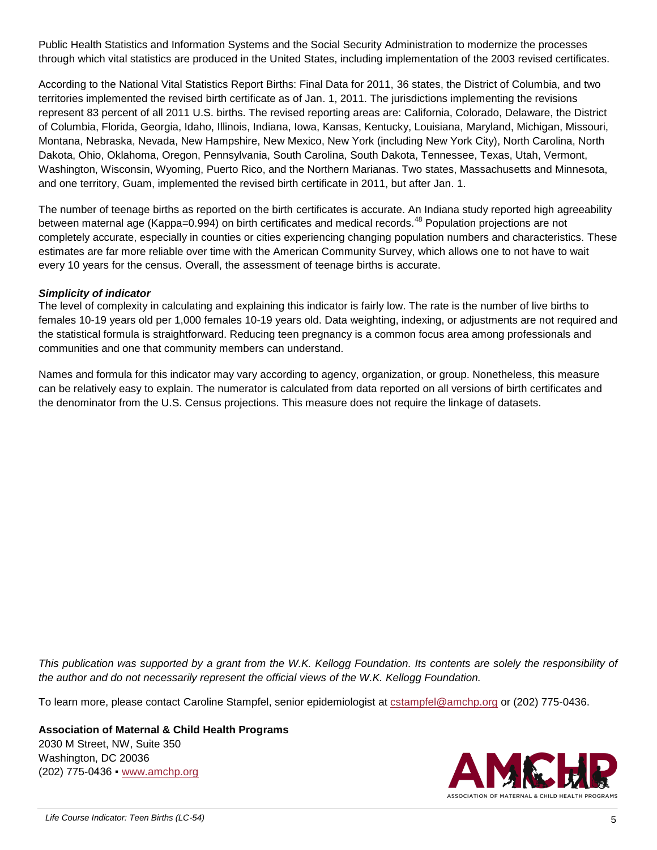Public Health Statistics and Information Systems and the Social Security Administration to modernize the processes through which vital statistics are produced in the United States, including implementation of the 2003 revised certificates.

According to the National Vital Statistics Report Births: Final Data for 2011, 36 states, the District of Columbia, and two territories implemented the revised birth certificate as of Jan. 1, 2011. The jurisdictions implementing the revisions represent 83 percent of all 2011 U.S. births. The revised reporting areas are: California, Colorado, Delaware, the District of Columbia, Florida, Georgia, Idaho, Illinois, Indiana, Iowa, Kansas, Kentucky, Louisiana, Maryland, Michigan, Missouri, Montana, Nebraska, Nevada, New Hampshire, New Mexico, New York (including New York City), North Carolina, North Dakota, Ohio, Oklahoma, Oregon, Pennsylvania, South Carolina, South Dakota, Tennessee, Texas, Utah, Vermont, Washington, Wisconsin, Wyoming, Puerto Rico, and the Northern Marianas. Two states, Massachusetts and Minnesota, and one territory, Guam, implemented the revised birth certificate in 2011, but after Jan. 1.

The number of teenage births as reported on the birth certificates is accurate. An Indiana study reported high agreeability between maternal age (Kappa=0.994) on birth certificates and medical records.<sup>48</sup> Population projections are not completely accurate, especially in counties or cities experiencing changing population numbers and characteristics. These estimates are far more reliable over time with the American Community Survey, which allows one to not have to wait every 10 years for the census. Overall, the assessment of teenage births is accurate.

# *Simplicity of indicator*

The level of complexity in calculating and explaining this indicator is fairly low. The rate is the number of live births to females 10-19 years old per 1,000 females 10-19 years old. Data weighting, indexing, or adjustments are not required and the statistical formula is straightforward. Reducing teen pregnancy is a common focus area among professionals and communities and one that community members can understand.

Names and formula for this indicator may vary according to agency, organization, or group. Nonetheless, this measure can be relatively easy to explain. The numerator is calculated from data reported on all versions of birth certificates and the denominator from the U.S. Census projections. This measure does not require the linkage of datasets.

*This publication was supported by a grant from the W.K. Kellogg Foundation. Its contents are solely the responsibility of the author and do not necessarily represent the official views of the W.K. Kellogg Foundation.* 

To learn more, please contact Caroline Stampfel, senior epidemiologist at [cstampfel@amchp.org](mailto:cstampfel@amchp.org) or (202) 775-0436.

**Association of Maternal & Child Health Programs** 2030 M Street, NW, Suite 350 Washington, DC 20036 (202) 775-0436 ▪ [www.amchp.org](http://www.amchp.org/)

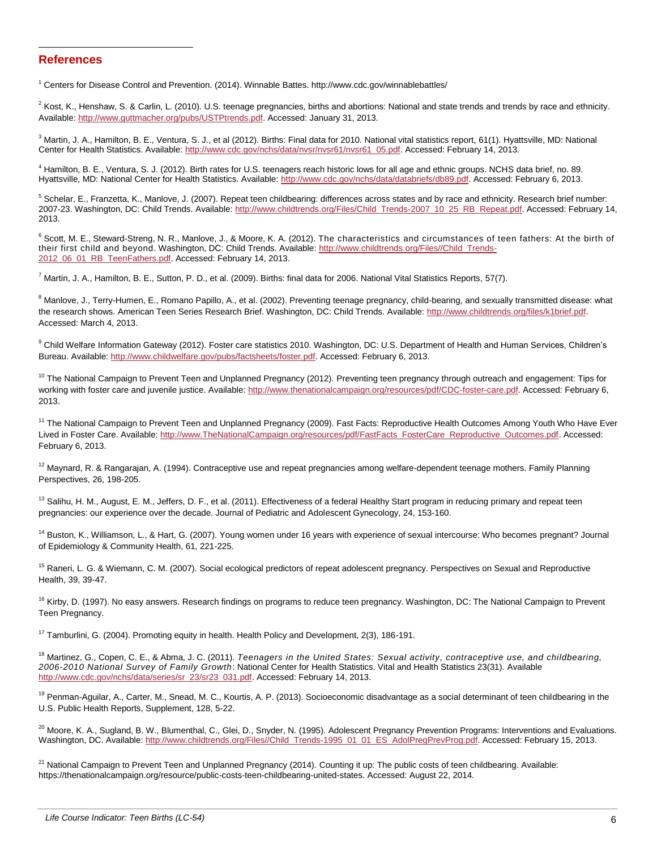#### **References**

l

<sup>1</sup> Centers for Disease Control and Prevention. (2014). Winnable Battes. http://www.cdc.gov/winnablebattles/

<sup>2</sup> Kost, K., Henshaw, S. & Carlin, L. (2010). U.S. teenage pregnancies, births and abortions: National and state trends and trends by race and ethnicity. Available: [http://www.guttmacher.org/pubs/USTPtrends.pdf.](http://www.guttmacher.org/pubs/USTPtrends.pdf) Accessed: January 31, 2013.

<sup>3</sup> Martin, J. A., Hamilton, B. E., Ventura, S. J., et al (2012). Births: Final data for 2010. National vital statistics report, 61(1). Hyattsville, MD: National Center for Health Statistics. Available[: http://www.cdc.gov/nchs/data/nvsr/nvsr61/nvsr61\\_05.pdf.](http://www.cdc.gov/nchs/data/nvsr/nvsr61/nvsr61_05.pdf) Accessed: February 14, 2013.

<sup>4</sup> Hamilton, B. E., Ventura, S. J. (2012). Birth rates for U.S. teenagers reach historic lows for all age and ethnic groups. NCHS data brief, no. 89. Hyattsville, MD: National Center for Health Statistics. Available: [http://www.cdc.gov/nchs/data/databriefs/db89.pdf.](http://www.cdc.gov/nchs/data/databriefs/db89.pdf) Accessed: February 6, 2013.

<sup>5</sup> Schelar, E., Franzetta, K., Manlove, J. (2007). Repeat teen childbearing: differences across states and by race and ethnicity. Research brief number: 2007-23. Washington, DC: Child Trends. Available: [http://www.childtrends.org/Files/Child\\_Trends-2007\\_10\\_25\\_RB\\_Repeat.pdf.](http://www.childtrends.org/Files/Child_Trends-2007_10_25_RB_Repeat.pdf) Accessed: February 14, 2013.

 $6$  Scott, M. E., Steward-Streng, N. R., Manlove, J., & Moore, K. A. (2012). The characteristics and circumstances of teen fathers: At the birth of their first child and beyond. Washington, DC: Child Trends. Available: [http://www.childtrends.org/Files//Child\\_Trends-](http://www.childtrends.org/Files/Child_Trends-2012_06_01_RB_TeenFathers.pdf)[2012\\_06\\_01\\_RB\\_TeenFathers.pdf.](http://www.childtrends.org/Files/Child_Trends-2012_06_01_RB_TeenFathers.pdf) Accessed: February 14, 2013.

 $^7$  Martin, J. A., Hamilton, B. E., Sutton, P. D., et al. (2009). Births: final data for 2006. National Vital Statistics Reports, 57(7).

<sup>8</sup> Manlove, J., Terry-Humen, E., Romano Papillo, A., et al. (2002). Preventing teenage pregnancy, child-bearing, and sexually transmitted disease: what the research shows. American Teen Series Research Brief. Washington, DC: Child Trends. Available: [http://www.childtrends.org/files/k1brief.pdf.](http://www.childtrends.org/files/k1brief.pdf) Accessed: March 4, 2013.

<sup>9</sup> Child Welfare Information Gateway (2012). Foster care statistics 2010. Washington, DC: U.S. Department of Health and Human Services, Children's Bureau. Available: [http://www.childwelfare.gov/pubs/factsheets/foster.pdf.](http://www.childwelfare.gov/pubs/factsheets/foster.pdf) Accessed: February 6, 2013.

<sup>10</sup> The National Campaign to Prevent Teen and Unplanned Pregnancy (2012). Preventing teen pregnancy through outreach and engagement: Tips for working with foster care and juvenile justice. Available[: http://www.thenationalcampaign.org/resources/pdf/CDC-foster-care.pdf.](http://www.thenationalcampaign.org/resources/pdf/CDC-foster-care.pdf) Accessed: February 6, 2013.

<sup>11</sup> The National Campaign to Prevent Teen and Unplanned Pregnancy (2009). Fast Facts: Reproductive Health Outcomes Among Youth Who Have Ever Lived in Foster Care. Available: [http://www.TheNationalCampaign.org/resources/pdf/FastFacts\\_FosterCare\\_Reproductive\\_Outcomes.pdf.](http://www.thenationalcampaign.org/resources/pdf/FastFacts_FosterCare_Reproductive_Outcomes.pdf) Accessed: February 6, 2013.

 $12$  Maynard, R. & Rangarajan, A. (1994). Contraceptive use and repeat pregnancies among welfare-dependent teenage mothers. Family Planning Perspectives, 26, 198-205.

 $13$  Salihu, H. M., August, E. M., Jeffers, D. F., et al. (2011). Effectiveness of a federal Healthy Start program in reducing primary and repeat teen pregnancies: our experience over the decade. Journal of Pediatric and Adolescent Gynecology, 24, 153-160.

<sup>14</sup> Buston, K., Williamson, L., & Hart, G. (2007). Young women under 16 years with experience of sexual intercourse: Who becomes pregnant? Journal of Epidemiology & Community Health, 61, 221-225.

<sup>15</sup> Raneri, L. G. & Wiemann, C. M. (2007). Social ecological predictors of repeat adolescent pregnancy. Perspectives on Sexual and Reproductive Health, 39, 39-47.

<sup>16</sup> Kirby, D. (1997). No easy answers. Research findings on programs to reduce teen pregnancy. Washington, DC: The National Campaign to Prevent Teen Pregnancy.

<sup>17</sup> Tamburlini, G. (2004). Promoting equity in health. Health Policy and Development, 2(3), 186-191.

<sup>18</sup> Martinez, G., Copen, C. E., & Abma, J. C. (2011). *Teenagers in the United States: Sexual activity, contraceptive use, and childbearing, 2006-2010 National Survey of Family Growth*: National Center for Health Statistics. Vital and Health Statistics 23(31). Available [http://www.cdc.gov/nchs/data/series/sr\\_23/sr23\\_031.pdf.](http://www.cdc.gov/nchs/data/series/sr_23/sr23_031.pdf) Accessed: February 14, 2013.

<sup>19</sup> Penman-Aguilar, A., Carter, M., Snead, M. C., Kourtis, A. P. (2013). Socioeconomic disadvantage as a social determinant of teen childbearing in the U.S. Public Health Reports, Supplement, 128, 5-22.

<sup>20</sup> Moore, K. A., Sugland, B. W., Blumenthal, C., Glei, D., Snyder, N. (1995). Adolescent Pregnancy Prevention Programs: Interventions and Evaluations. Washington, DC. Available[: http://www.childtrends.org/Files//Child\\_Trends-1995\\_01\\_01\\_ES\\_AdolPregPrevProg.pdf.](http://www.childtrends.org/Files/Child_Trends-1995_01_01_ES_AdolPregPrevProg.pdf) Accessed: February 15, 2013.

 $21$  National Campaign to Prevent Teen and Unplanned Pregnancy (2014). Counting it up: The public costs of teen childbearing. Available: https://thenationalcampaign.org/resource/public-costs-teen-childbearing-united-states. Accessed: August 22, 2014.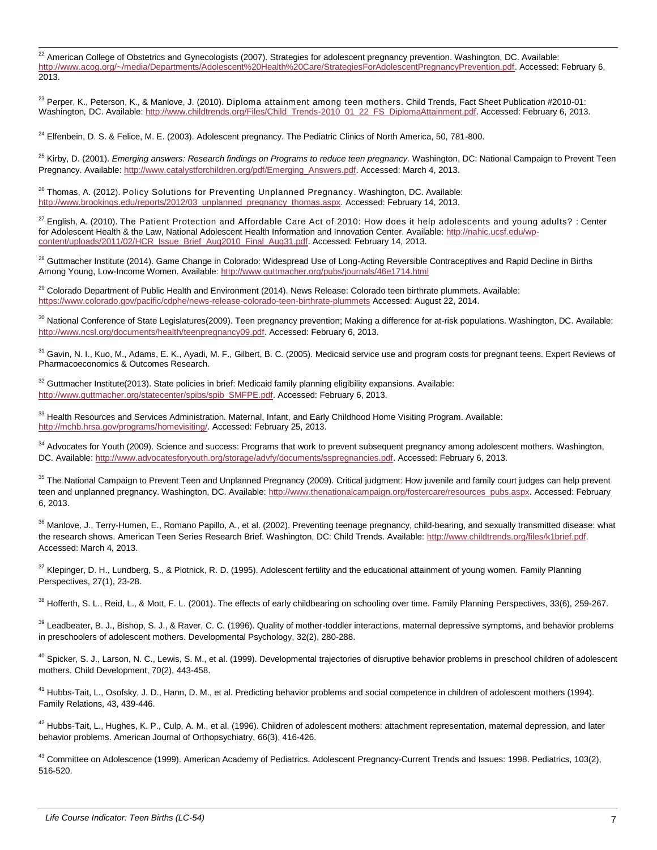l  $^{22}$  American College of Obstetrics and Gynecologists (2007). Strategies for adolescent pregnancy prevention. Washington, DC. Available: [http://www.acog.org/~/media/Departments/Adolescent%20Health%20Care/StrategiesForAdolescentPregnancyPrevention.pdf.](http://www.acog.org/~/media/Departments/Adolescent%20Health%20Care/StrategiesForAdolescentPregnancyPrevention.pdf) Accessed: February 6, 2013.

<sup>23</sup> Perper, K., Peterson, K., & Manlove, J. (2010). Diploma attainment among teen mothers*.* Child Trends, Fact Sheet Publication #2010-01: Washington*,* DC. Available[: http://www.childtrends.org/Files/Child\\_Trends-2010\\_01\\_22\\_FS\\_DiplomaAttainment.pdf.](http://www.childtrends.org/Files/Child_Trends-2010_01_22_FS_DiplomaAttainment.pdf) Accessed: February 6, 2013.

 $24$  Elfenbein, D. S. & Felice, M. E. (2003). Adolescent pregnancy. The Pediatric Clinics of North America, 50, 781-800.

<sup>25</sup> Kirby, D. (2001). *Emerging answers: Research findings on Programs to reduce teen pregnancy.* Washington, DC: National Campaign to Prevent Teen Pregnancy. Available[: http://www.catalystforchildren.org/pdf/Emerging\\_Answers.pdf.](http://www.catalystforchildren.org/pdf/Emerging_Answers.pdf) Accessed: March 4, 2013.

<sup>26</sup> Thomas, A. (2012). Policy Solutions for Preventing Unplanned Pregnancy. Washington, DC. Available: [http://www.brookings.edu/reports/2012/03\\_unplanned\\_pregnancy\\_thomas.aspx.](http://www.brookings.edu/reports/2012/03_unplanned_pregnancy_thomas.aspx) Accessed: February 14, 2013.

 $^{27}$  English, A. (2010). The Patient Protection and Affordable Care Act of 2010: How does it help adolescents and young adults? : Center for Adolescent Health & the Law, National Adolescent Health Information and Innovation Center. Available: [http://nahic.ucsf.edu/wp](http://nahic.ucsf.edu/wp-content/uploads/2011/02/HCR_Issue_Brief_Aug2010_Final_Aug31.pdf)[content/uploads/2011/02/HCR\\_Issue\\_Brief\\_Aug2010\\_Final\\_Aug31.pdf.](http://nahic.ucsf.edu/wp-content/uploads/2011/02/HCR_Issue_Brief_Aug2010_Final_Aug31.pdf) Accessed: February 14, 2013.

<sup>28</sup> Guttmacher Institute (2014). Game Change in Colorado: Widespread Use of Long-Acting Reversible Contraceptives and Rapid Decline in Births Among Young, Low-Income Women. Available:<http://www.guttmacher.org/pubs/journals/46e1714.html>

<sup>29</sup> Colorado Department of Public Health and Environment (2014). News Release: Colorado teen birthrate plummets. Available: <https://www.colorado.gov/pacific/cdphe/news-release-colorado-teen-birthrate-plummets> Accessed: August 22, 2014.

<sup>30</sup> National Conference of State Legislatures(2009). Teen pregnancy prevention; Making a difference for at-risk populations. Washington, DC. Available: [http://www.ncsl.org/documents/health/teenpregnancy09.pdf.](http://www.ncsl.org/documents/health/teenpregnancy09.pdf) Accessed: February 6, 2013.

<sup>31</sup> Gavin, N. I., Kuo, M., Adams, E. K., Ayadi, M. F., Gilbert, B. C. (2005). Medicaid service use and program costs for pregnant teens. Expert Reviews of Pharmacoeconomics & Outcomes Research.

 $32$  Guttmacher Institute(2013). State policies in brief: Medicaid family planning eligibility expansions. Available: [http://www.guttmacher.org/statecenter/spibs/spib\\_SMFPE.pdf.](http://www.guttmacher.org/statecenter/spibs/spib_SMFPE.pdf) Accessed: February 6, 2013.

 $33$  Health Resources and Services Administration. Maternal, Infant, and Early Childhood Home Visiting Program. Available: [http://mchb.hrsa.gov/programs/homevisiting/.](http://mchb.hrsa.gov/programs/homevisiting/) Accessed: February 25, 2013.

<sup>34</sup> Advocates for Youth (2009). Science and success: Programs that work to prevent subsequent pregnancy among adolescent mothers. Washington, DC. Available: [http://www.advocatesforyouth.org/storage/advfy/documents/sspregnancies.pdf.](http://www.advocatesforyouth.org/storage/advfy/documents/sspregnancies.pdf) Accessed: February 6, 2013.

<sup>35</sup> The National Campaign to Prevent Teen and Unplanned Pregnancy (2009). Critical judgment: How juvenile and family court judges can help prevent teen and unplanned pregnancy. Washington, DC. Available[: http://www.thenationalcampaign.org/fostercare/resources\\_pubs.aspx.](http://www.thenationalcampaign.org/fostercare/resources_pubs.aspx) Accessed: February 6, 2013.

<sup>36</sup> Manlove, J., Terry-Humen, E., Romano Papillo, A., et al. (2002). Preventing teenage pregnancy, child-bearing, and sexually transmitted disease: what the research shows. American Teen Series Research Brief. Washington, DC: Child Trends. Available: [http://www.childtrends.org/files/k1brief.pdf.](http://www.childtrends.org/files/k1brief.pdf) Accessed: March 4, 2013.

<sup>37</sup> Klepinger, D. H., Lundberg, S., & Plotnick, R. D. (1995). Adolescent fertility and the educational attainment of young women. Family Planning Perspectives, 27(1), 23-28.

<sup>38</sup> Hofferth, S. L., Reid, L., & Mott, F. L. (2001). The effects of early childbearing on schooling over time. Family Planning Perspectives, 33(6), 259-267.

<sup>39</sup> Leadbeater, B. J., Bishop, S. J., & Raver, C. C. (1996). Quality of mother-toddler interactions, maternal depressive symptoms, and behavior problems in preschoolers of adolescent mothers. Developmental Psychology, 32(2), 280-288.

<sup>40</sup> Spicker, S. J., Larson, N. C., Lewis, S. M., et al. (1999). Developmental trajectories of disruptive behavior problems in preschool children of adolescent mothers. Child Development, 70(2), 443-458.

<sup>41</sup> Hubbs-Tait, L., Osofsky, J. D., Hann, D. M., et al. Predicting behavior problems and social competence in children of adolescent mothers (1994). Family Relations, 43, 439-446.

 $42$  Hubbs-Tait, L., Hughes, K. P., Culp, A. M., et al. (1996). Children of adolescent mothers: attachment representation, maternal depression, and later behavior problems. American Journal of Orthopsychiatry, 66(3), 416-426.

<sup>43</sup> Committee on Adolescence (1999). American Academy of Pediatrics. Adolescent Pregnancy-Current Trends and Issues: 1998. Pediatrics, 103(2), 516-520.